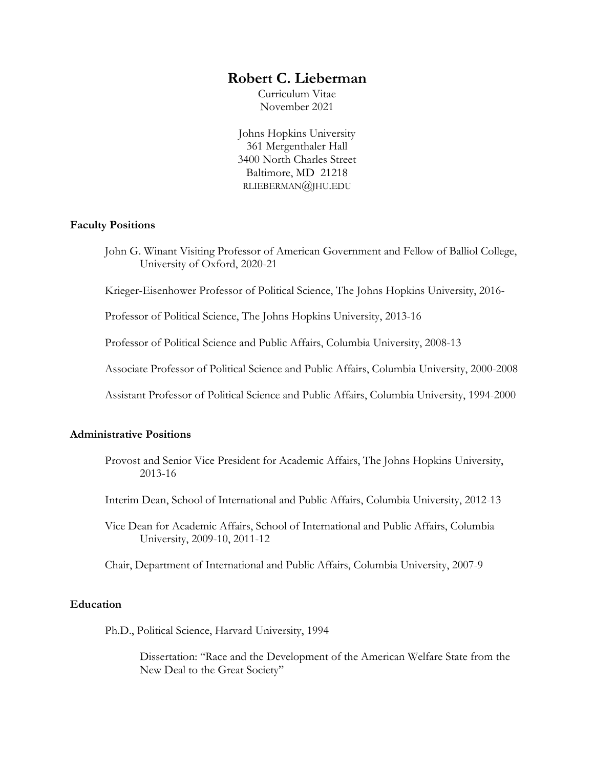# **Robert C. Lieberman**

Curriculum Vitae November 2021

Johns Hopkins University 361 Mergenthaler Hall 3400 North Charles Street Baltimore, MD 21218 RLIEBERMAN@JHU.EDU

### **Faculty Positions**

John G. Winant Visiting Professor of American Government and Fellow of Balliol College, University of Oxford, 2020-21

Krieger-Eisenhower Professor of Political Science, The Johns Hopkins University, 2016-

Professor of Political Science, The Johns Hopkins University, 2013-16

Professor of Political Science and Public Affairs, Columbia University, 2008-13

Associate Professor of Political Science and Public Affairs, Columbia University, 2000-2008

Assistant Professor of Political Science and Public Affairs, Columbia University, 1994-2000

## **Administrative Positions**

- Provost and Senior Vice President for Academic Affairs, The Johns Hopkins University, 2013-16
- Interim Dean, School of International and Public Affairs, Columbia University, 2012-13
- Vice Dean for Academic Affairs, School of International and Public Affairs, Columbia University, 2009-10, 2011-12
- Chair, Department of International and Public Affairs, Columbia University, 2007-9

### **Education**

Ph.D., Political Science, Harvard University, 1994

Dissertation: "Race and the Development of the American Welfare State from the New Deal to the Great Society"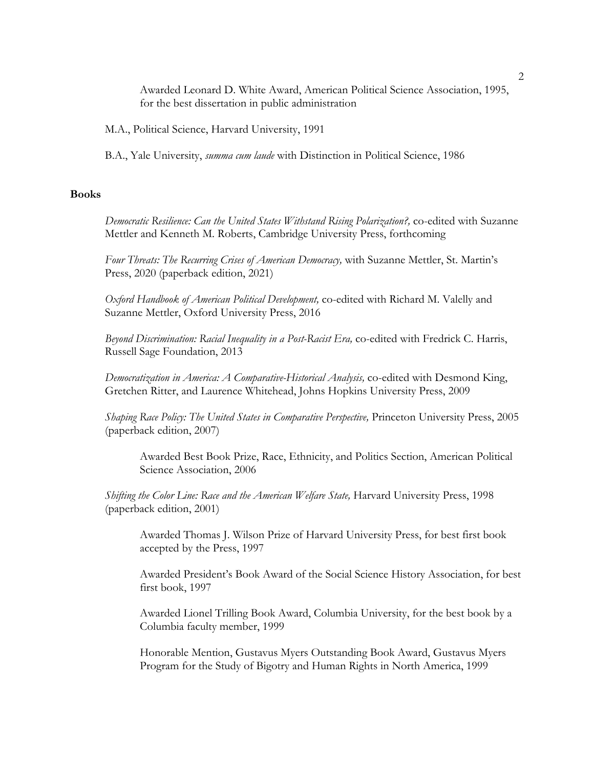Awarded Leonard D. White Award, American Political Science Association, 1995, for the best dissertation in public administration

M.A., Political Science, Harvard University, 1991

B.A., Yale University, *summa cum laude* with Distinction in Political Science, 1986

### **Books**

*Democratic Resilience: Can the United States Withstand Rising Polarization?,* co-edited with Suzanne Mettler and Kenneth M. Roberts, Cambridge University Press, forthcoming

*Four Threats: The Recurring Crises of American Democracy,* with Suzanne Mettler, St. Martin's Press, 2020 (paperback edition, 2021)

*Oxford Handbook of American Political Development,* co-edited with Richard M. Valelly and Suzanne Mettler, Oxford University Press, 2016

*Beyond Discrimination: Racial Inequality in a Post-Racist Era,* co-edited with Fredrick C. Harris, Russell Sage Foundation, 2013

*Democratization in America: A Comparative-Historical Analysis,* co-edited with Desmond King, Gretchen Ritter, and Laurence Whitehead, Johns Hopkins University Press, 2009

*Shaping Race Policy: The United States in Comparative Perspective,* Princeton University Press, 2005 (paperback edition, 2007)

Awarded Best Book Prize, Race, Ethnicity, and Politics Section, American Political Science Association, 2006

*Shifting the Color Line: Race and the American Welfare State,* Harvard University Press, 1998 (paperback edition, 2001)

Awarded Thomas J. Wilson Prize of Harvard University Press, for best first book accepted by the Press, 1997

Awarded President's Book Award of the Social Science History Association, for best first book, 1997

Awarded Lionel Trilling Book Award, Columbia University, for the best book by a Columbia faculty member, 1999

Honorable Mention, Gustavus Myers Outstanding Book Award, Gustavus Myers Program for the Study of Bigotry and Human Rights in North America, 1999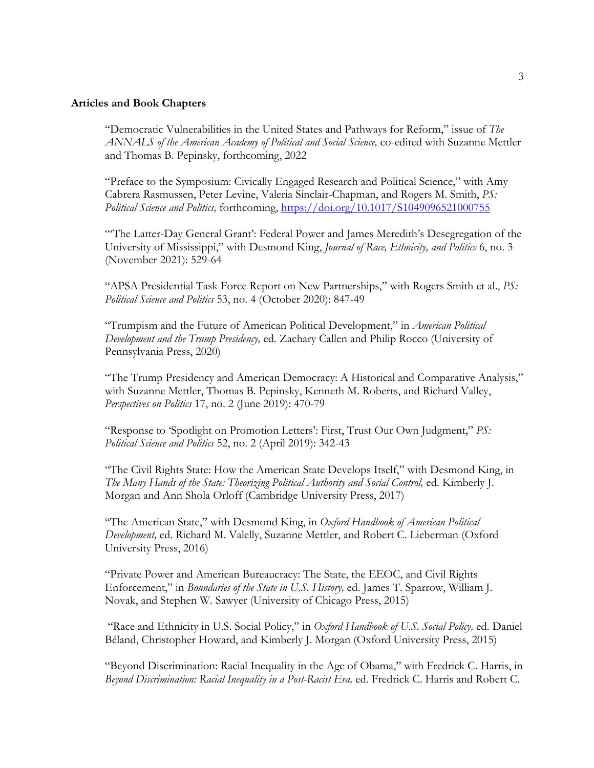### Articles and Book Chapters

"Democratic Vulnerabilities in the United States and Pathways for Reform," issue of *The ANNALS of the American Academy of Political and Social Science,* co-edited with Suzanne Mettler and Thomas B. Pepinsky, forthcoming, 2022

"Preface to the Symposium: Civically Engaged Research and Political Science," with Amy Cabrera Rasmussen, Peter Levine, Valeria Sinclair-Chapman, and Rogers M. Smith, *PS: Political Science and Politics,* forthcoming, https://doi.org/10.1017/S1049096521000755

"'The Latter-Day General Grant': Federal Power and James Meredith's Desegregation of the University of Mississippi," with Desmond King, *Journal of Race, Ethnicity, and Politics* 6, no. 3 (November 2021): 529-64

"APSA Presidential Task Force Report on New Partnerships," with Rogers Smith et al., *PS: Political Science and Politics* 53, no. 4 (October 2020): 847-49

"Trumpism and the Future of American Political Development," in *American Political Development and the Trump Presidency,* ed. Zachary Callen and Philip Rocco (University of Pennsylvania Press, 2020)

"The Trump Presidency and American Democracy: A Historical and Comparative Analysis," with Suzanne Mettler, Thomas B. Pepinsky, Kenneth M. Roberts, and Richard Valley, *Perspectives on Politics* 17, no. 2 (June 2019): 470-79

"Response to 'Spotlight on Promotion Letters': First, Trust Our Own Judgment," *PS: Political Science and Politics* 52, no. 2 (April 2019): 342-43

"The Civil Rights State: How the American State Develops Itself," with Desmond King, in *The Many Hands of the State: Theorizing Political Authority and Social Control,* ed. Kimberly J. Morgan and Ann Shola Orloff (Cambridge University Press, 2017)

"The American State," with Desmond King, in *Oxford Handbook of American Political Development,* ed. Richard M. Valelly, Suzanne Mettler, and Robert C. Lieberman (Oxford University Press, 2016)

"Private Power and American Bureaucracy: The State, the EEOC, and Civil Rights Enforcement," in *Boundaries of the State in U.S. History,* ed. James T. Sparrow, William J. Novak, and Stephen W. Sawyer (University of Chicago Press, 2015)

"Race and Ethnicity in U.S. Social Policy," in *Oxford Handbook of U.S. Social Policy,* ed. Daniel Béland, Christopher Howard, and Kimberly J. Morgan (Oxford University Press, 2015)

"Beyond Discrimination: Racial Inequality in the Age of Obama," with Fredrick C. Harris, in *Beyond Discrimination: Racial Inequality in a Post-Racist Era,* ed. Fredrick C. Harris and Robert C.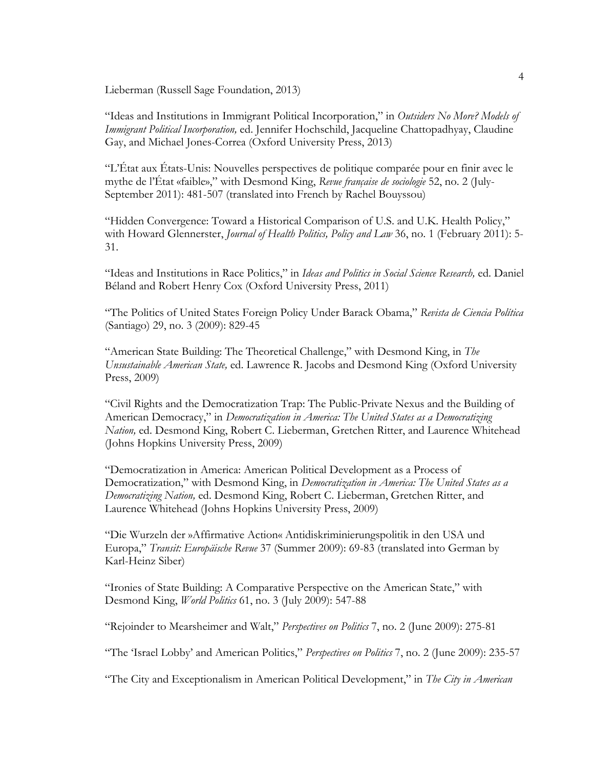Lieberman (Russell Sage Foundation, 2013)

"Ideas and Institutions in Immigrant Political Incorporation," in *Outsiders No More? Models of Immigrant Political Incorporation,* ed. Jennifer Hochschild, Jacqueline Chattopadhyay, Claudine Gay, and Michael Jones-Correa (Oxford University Press, 2013)

"L'État aux États-Unis: Nouvelles perspectives de politique comparée pour en finir avec le mythe de l'État «faible»," with Desmond King, *Revue française de sociologie* 52, no. 2 (July-September 2011): 481-507 (translated into French by Rachel Bouyssou)

"Hidden Convergence: Toward a Historical Comparison of U.S. and U.K. Health Policy," with Howard Glennerster, *Journal of Health Politics, Policy and Law* 36, no. 1 (February 2011): 5- 31.

"Ideas and Institutions in Race Politics," in *Ideas and Politics in Social Science Research,* ed. Daniel Béland and Robert Henry Cox (Oxford University Press, 2011)

"The Politics of United States Foreign Policy Under Barack Obama," *Revista de Ciencia Política* (Santiago) 29, no. 3 (2009): 829-45

"American State Building: The Theoretical Challenge," with Desmond King, in *The Unsustainable American State,* ed. Lawrence R. Jacobs and Desmond King (Oxford University Press, 2009)

"Civil Rights and the Democratization Trap: The Public-Private Nexus and the Building of American Democracy," in *Democratization in America: The United States as a Democratizing Nation,* ed. Desmond King, Robert C. Lieberman, Gretchen Ritter, and Laurence Whitehead (Johns Hopkins University Press, 2009)

"Democratization in America: American Political Development as a Process of Democratization," with Desmond King, in *Democratization in America: The United States as a Democratizing Nation,* ed. Desmond King, Robert C. Lieberman, Gretchen Ritter, and Laurence Whitehead (Johns Hopkins University Press, 2009)

"Die Wurzeln der »Affirmative Action« Antidiskriminierungspolitik in den USA und Europa," *Transit: Europäische Revue* 37 (Summer 2009): 69-83 (translated into German by Karl-Heinz Siber)

"Ironies of State Building: A Comparative Perspective on the American State," with Desmond King, *World Politics* 61, no. 3 (July 2009): 547-88

"Rejoinder to Mearsheimer and Walt," *Perspectives on Politics* 7, no. 2 (June 2009): 275-81

"The 'Israel Lobby' and American Politics," *Perspectives on Politics* 7, no. 2 (June 2009): 235-57

"The City and Exceptionalism in American Political Development," in *The City in American*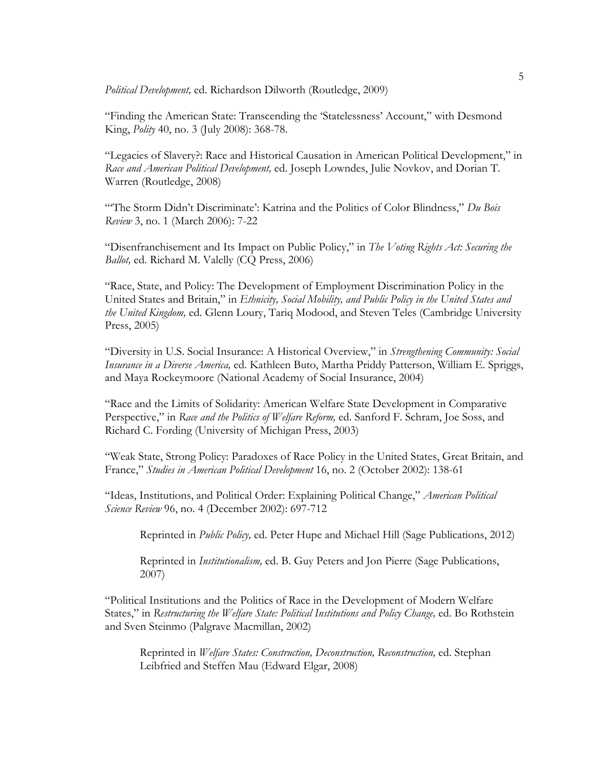*Political Development,* ed. Richardson Dilworth (Routledge, 2009)

"Finding the American State: Transcending the 'Statelessness' Account," with Desmond King, *Polity* 40, no. 3 (July 2008): 368-78.

"Legacies of Slavery?: Race and Historical Causation in American Political Development," in *Race and American Political Development,* ed. Joseph Lowndes, Julie Novkov, and Dorian T. Warren (Routledge, 2008)

"'The Storm Didn't Discriminate': Katrina and the Politics of Color Blindness," *Du Bois Review* 3, no. 1 (March 2006): 7-22

"Disenfranchisement and Its Impact on Public Policy," in *The Voting Rights Act: Securing the Ballot,* ed. Richard M. Valelly (CQ Press, 2006)

"Race, State, and Policy: The Development of Employment Discrimination Policy in the United States and Britain," in *Ethnicity, Social Mobility, and Public Policy in the United States and the United Kingdom,* ed. Glenn Loury, Tariq Modood, and Steven Teles (Cambridge University Press, 2005)

"Diversity in U.S. Social Insurance: A Historical Overview," in *Strengthening Community: Social Insurance in a Diverse America,* ed. Kathleen Buto, Martha Priddy Patterson, William E. Spriggs, and Maya Rockeymoore (National Academy of Social Insurance, 2004)

"Race and the Limits of Solidarity: American Welfare State Development in Comparative Perspective," in *Race and the Politics of Welfare Reform,* ed. Sanford F. Schram, Joe Soss, and Richard C. Fording (University of Michigan Press, 2003)

"Weak State, Strong Policy: Paradoxes of Race Policy in the United States, Great Britain, and France," *Studies in American Political Development* 16, no. 2 (October 2002): 138-61

"Ideas, Institutions, and Political Order: Explaining Political Change," *American Political Science Review* 96, no. 4 (December 2002): 697-712

Reprinted in *Public Policy,* ed. Peter Hupe and Michael Hill (Sage Publications, 2012)

Reprinted in *Institutionalism,* ed. B. Guy Peters and Jon Pierre (Sage Publications, 2007)

"Political Institutions and the Politics of Race in the Development of Modern Welfare States," in *Restructuring the Welfare State: Political Institutions and Policy Change,* ed. Bo Rothstein and Sven Steinmo (Palgrave Macmillan, 2002)

Reprinted in *Welfare States: Construction, Deconstruction, Reconstruction,* ed. Stephan Leibfried and Steffen Mau (Edward Elgar, 2008)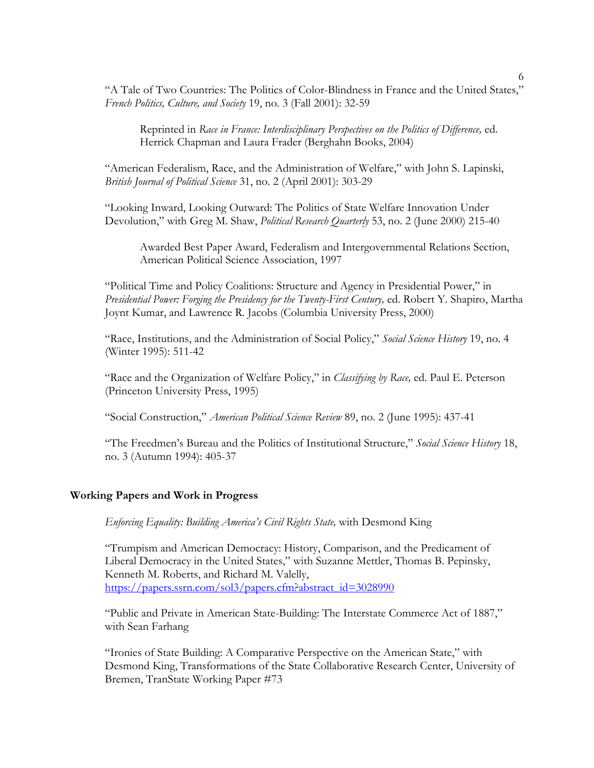"A Tale of Two Countries: The Politics of Color-Blindness in France and the United States," *French Politics, Culture, and Society* 19, no. 3 (Fall 2001): 32-59

Reprinted in *Race in France: Interdisciplinary Perspectives on the Politics of Difference,* ed. Herrick Chapman and Laura Frader (Berghahn Books, 2004)

"American Federalism, Race, and the Administration of Welfare," with John S. Lapinski, *British Journal of Political Science* 31, no. 2 (April 2001): 303-29

"Looking Inward, Looking Outward: The Politics of State Welfare Innovation Under Devolution," with Greg M. Shaw, *Political Research Quarterly* 53, no. 2 (June 2000) 215-40

Awarded Best Paper Award, Federalism and Intergovernmental Relations Section, American Political Science Association, 1997

"Political Time and Policy Coalitions: Structure and Agency in Presidential Power," in *Presidential Power: Forging the Presidency for the Twenty-First Century,* ed. Robert Y. Shapiro, Martha Joynt Kumar, and Lawrence R. Jacobs (Columbia University Press, 2000)

"Race, Institutions, and the Administration of Social Policy," *Social Science History* 19, no. 4 (Winter 1995): 511-42

"Race and the Organization of Welfare Policy," in *Classifying by Race,* ed. Paul E. Peterson (Princeton University Press, 1995)

"Social Construction," *American Political Science Review* 89, no. 2 (June 1995): 437-41

"The Freedmen's Bureau and the Politics of Institutional Structure," *Social Science History* 18, no. 3 (Autumn 1994): 405-37

## **Working Papers and Work in Progress**

*Enforcing Equality: Building America's Civil Rights State,* with Desmond King

"Trumpism and American Democracy: History, Comparison, and the Predicament of Liberal Democracy in the United States," with Suzanne Mettler, Thomas B. Pepinsky, Kenneth M. Roberts, and Richard M. Valelly, https://papers.ssrn.com/sol3/papers.cfm?abstract\_id=3028990

"Public and Private in American State-Building: The Interstate Commerce Act of 1887," with Sean Farhang

"Ironies of State Building: A Comparative Perspective on the American State," with Desmond King, Transformations of the State Collaborative Research Center, University of Bremen, TranState Working Paper #73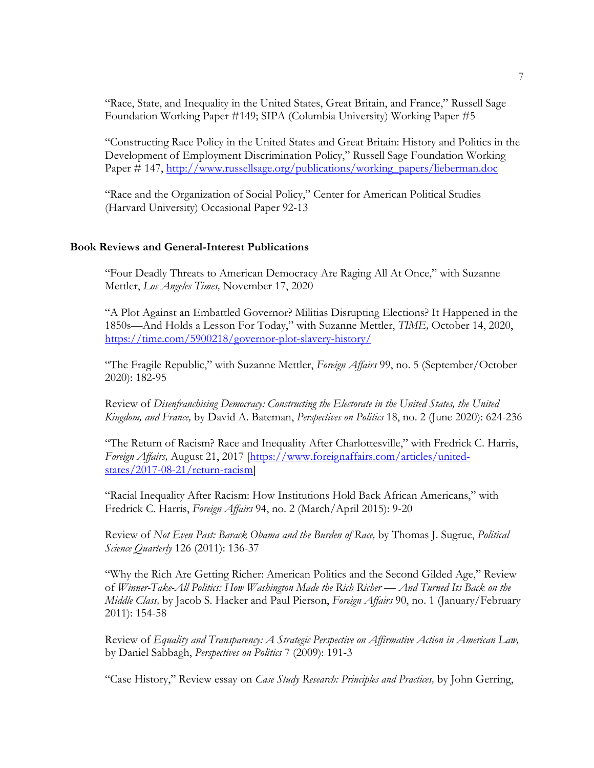"Race, State, and Inequality in the United States, Great Britain, and France," Russell Sage Foundation Working Paper #149; SIPA (Columbia University) Working Paper #5

"Constructing Race Policy in the United States and Great Britain: History and Politics in the Development of Employment Discrimination Policy," Russell Sage Foundation Working Paper # 147, http://www.russellsage.org/publications/working\_papers/lieberman.doc

"Race and the Organization of Social Policy," Center for American Political Studies (Harvard University) Occasional Paper 92-13

## **Book Reviews and General-Interest Publications**

"Four Deadly Threats to American Democracy Are Raging All At Once," with Suzanne Mettler, *Los Angeles Times,* November 17, 2020

"A Plot Against an Embattled Governor? Militias Disrupting Elections? It Happened in the 1850s—And Holds a Lesson For Today," with Suzanne Mettler, *TIME,* October 14, 2020, https://time.com/5900218/governor-plot-slavery-history/

"The Fragile Republic," with Suzanne Mettler, *Foreign Affairs* 99, no. 5 (September/October 2020): 182-95

Review of *Disenfranchising Democracy: Constructing the Electorate in the United States, the United Kingdom, and France,* by David A. Bateman, *Perspectives on Politics* 18, no. 2 (June 2020): 624-236

"The Return of Racism? Race and Inequality After Charlottesville," with Fredrick C. Harris, *Foreign Affairs,* August 21, 2017 [https://www.foreignaffairs.com/articles/unitedstates/2017-08-21/return-racism]

"Racial Inequality After Racism: How Institutions Hold Back African Americans," with Fredrick C. Harris, *Foreign Affairs* 94, no. 2 (March/April 2015): 9-20

Review of *Not Even Past: Barack Obama and the Burden of Race,* by Thomas J. Sugrue, *Political Science Quarterly* 126 (2011): 136-37

"Why the Rich Are Getting Richer: American Politics and the Second Gilded Age," Review of *Winner-Take-All Politics: How Washington Made the Rich Richer — And Turned Its Back on the Middle Class,* by Jacob S. Hacker and Paul Pierson, *Foreign Affairs* 90, no. 1 (January/February 2011): 154-58

Review of *Equality and Transparency: A Strategic Perspective on Affirmative Action in American Law,* by Daniel Sabbagh, *Perspectives on Politics* 7 (2009): 191-3

"Case History," Review essay on *Case Study Research: Principles and Practices,* by John Gerring,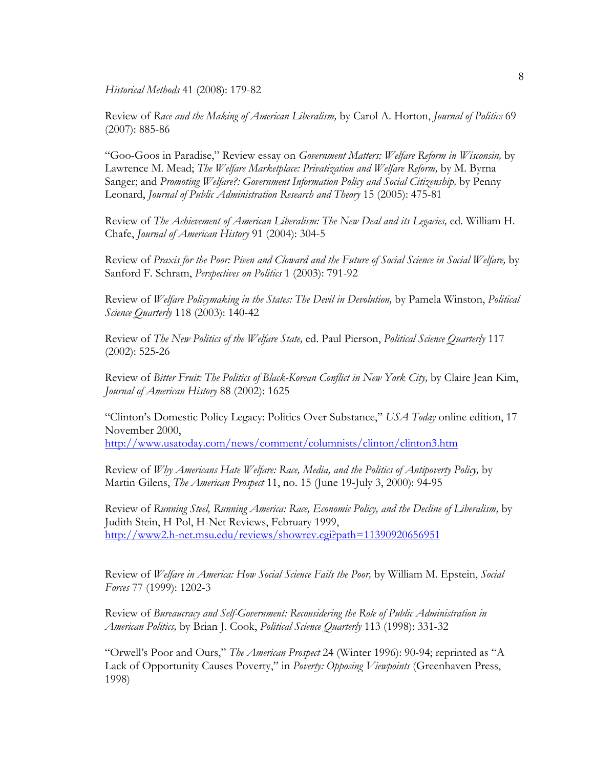*Historical Methods* 41 (2008): 179-82

Review of *Race and the Making of American Liberalism,* by Carol A. Horton, *Journal of Politics* 69 (2007): 885-86

"Goo-Goos in Paradise," Review essay on *Government Matters: Welfare Reform in Wisconsin,* by Lawrence M. Mead; *The Welfare Marketplace: Privatization and Welfare Reform,* by M. Byrna Sanger; and *Promoting Welfare?: Government Information Policy and Social Citizenship,* by Penny Leonard, *Journal of Public Administration Research and Theory* 15 (2005): 475-81

Review of *The Achievement of American Liberalism: The New Deal and its Legacies,* ed. William H. Chafe, *Journal of American History* 91 (2004): 304-5

Review of *Praxis for the Poor: Piven and Cloward and the Future of Social Science in Social Welfare,* by Sanford F. Schram, *Perspectives on Politics* 1 (2003): 791-92

Review of *Welfare Policymaking in the States: The Devil in Devolution,* by Pamela Winston, *Political Science Quarterly* 118 (2003): 140-42

Review of *The New Politics of the Welfare State,* ed. Paul Pierson, *Political Science Quarterly* 117 (2002): 525-26

Review of *Bitter Fruit: The Politics of Black-Korean Conflict in New York City,* by Claire Jean Kim, *Journal of American History* 88 (2002): 1625

"Clinton's Domestic Policy Legacy: Politics Over Substance," *USA Today* online edition, 17 November 2000, http://www.usatoday.com/news/comment/columnists/clinton/clinton3.htm

Review of *Why Americans Hate Welfare: Race, Media, and the Politics of Antipoverty Policy,* by Martin Gilens, *The American Prospect* 11, no. 15 (June 19-July 3, 2000): 94-95

Review of *Running Steel, Running America: Race, Economic Policy, and the Decline of Liberalism,* by Judith Stein, H-Pol, H-Net Reviews, February 1999, http://www2.h-net.msu.edu/reviews/showrev.cgi?path=11390920656951

Review of *Welfare in America: How Social Science Fails the Poor,* by William M. Epstein, *Social Forces* 77 (1999): 1202-3

Review of *Bureaucracy and Self-Government: Reconsidering the Role of Public Administration in American Politics,* by Brian J. Cook, *Political Science Quarterly* 113 (1998): 331-32

"Orwell's Poor and Ours," *The American Prospect* 24 (Winter 1996): 90-94; reprinted as "A Lack of Opportunity Causes Poverty," in *Poverty: Opposing Viewpoints* (Greenhaven Press, 1998)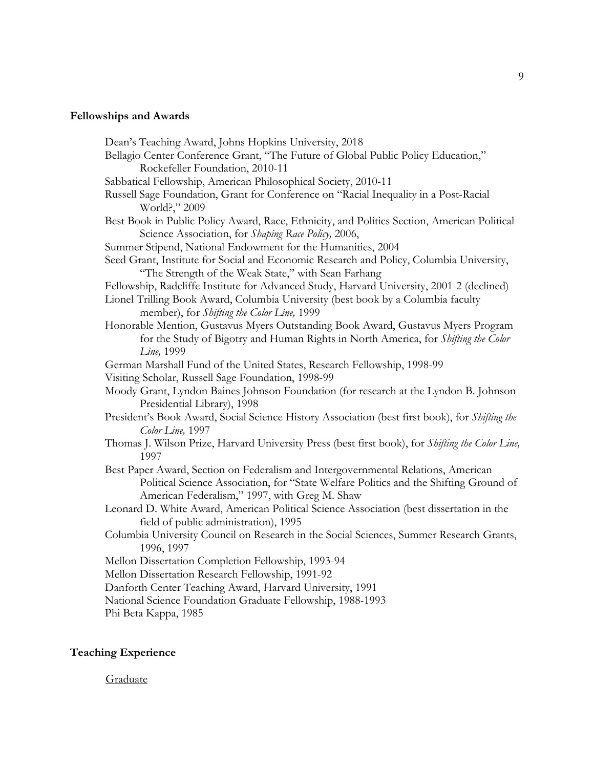# **Fellowships and Awards**

| Dean's Teaching Award, Johns Hopkins University, 2018                                                                                              |
|----------------------------------------------------------------------------------------------------------------------------------------------------|
| Bellagio Center Conference Grant, "The Future of Global Public Policy Education,"                                                                  |
| Rockefeller Foundation, 2010-11                                                                                                                    |
| Sabbatical Fellowship, American Philosophical Society, 2010-11                                                                                     |
| Russell Sage Foundation, Grant for Conference on "Racial Inequality in a Post-Racial                                                               |
| World?," 2009                                                                                                                                      |
| Best Book in Public Policy Award, Race, Ethnicity, and Politics Section, American Political<br>Science Association, for Shaping Race Policy, 2006, |
| Summer Stipend, National Endowment for the Humanities, 2004                                                                                        |
| Seed Grant, Institute for Social and Economic Research and Policy, Columbia University,                                                            |
| "The Strength of the Weak State," with Sean Farhang                                                                                                |
| Fellowship, Radcliffe Institute for Advanced Study, Harvard University, 2001-2 (declined)                                                          |
| Lionel Trilling Book Award, Columbia University (best book by a Columbia faculty<br>member), for Shifting the Color Line, 1999                     |
| Honorable Mention, Gustavus Myers Outstanding Book Award, Gustavus Myers Program                                                                   |
| for the Study of Bigotry and Human Rights in North America, for Shifting the Color                                                                 |
| Line, 1999                                                                                                                                         |
| German Marshall Fund of the United States, Research Fellowship, 1998-99                                                                            |
| Visiting Scholar, Russell Sage Foundation, 1998-99                                                                                                 |
| Moody Grant, Lyndon Baines Johnson Foundation (for research at the Lyndon B. Johnson                                                               |
| Presidential Library), 1998                                                                                                                        |
| President's Book Award, Social Science History Association (best first book), for Shifting the                                                     |
| Color Line, 1997                                                                                                                                   |
| Thomas J. Wilson Prize, Harvard University Press (best first book), for Shifting the Color Line,                                                   |
| 1997                                                                                                                                               |
| Best Paper Award, Section on Federalism and Intergovernmental Relations, American                                                                  |
| Political Science Association, for "State Welfare Politics and the Shifting Ground of                                                              |
| American Federalism," 1997, with Greg M. Shaw                                                                                                      |
| Leonard D. White Award, American Political Science Association (best dissertation in the                                                           |
| field of public administration), 1995                                                                                                              |
| Columbia University Council on Research in the Social Sciences, Summer Research Grants,<br>1996, 1997                                              |
| Mellon Dissertation Completion Fellowship, 1993-94                                                                                                 |
| Mellon Dissertation Research Fellowship, 1991-92                                                                                                   |
| Danforth Center Teaching Award, Harvard University, 1991                                                                                           |
| National Science Foundation Graduate Fellowship, 1988-1993                                                                                         |
| Phi Beta Kappa, 1985                                                                                                                               |
|                                                                                                                                                    |

# **Teaching Experience**

Graduate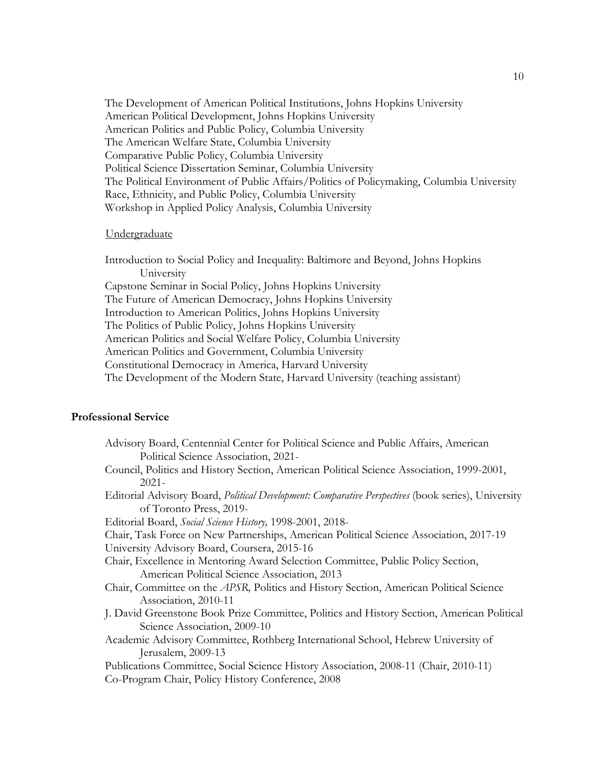The Development of American Political Institutions, Johns Hopkins University American Political Development, Johns Hopkins University American Politics and Public Policy, Columbia University The American Welfare State, Columbia University Comparative Public Policy, Columbia University Political Science Dissertation Seminar, Columbia University The Political Environment of Public Affairs/Politics of Policymaking, Columbia University Race, Ethnicity, and Public Policy, Columbia University Workshop in Applied Policy Analysis, Columbia University

#### Undergraduate

Introduction to Social Policy and Inequality: Baltimore and Beyond, Johns Hopkins University Capstone Seminar in Social Policy, Johns Hopkins University The Future of American Democracy, Johns Hopkins University Introduction to American Politics, Johns Hopkins University The Politics of Public Policy, Johns Hopkins University American Politics and Social Welfare Policy, Columbia University American Politics and Government, Columbia University Constitutional Democracy in America, Harvard University The Development of the Modern State, Harvard University (teaching assistant)

### 1B**Professional Service**

| Advisory Board, Centennial Center for Political Science and Public Affairs, American                       |
|------------------------------------------------------------------------------------------------------------|
| Political Science Association, 2021-                                                                       |
| Council, Politics and History Section, American Political Science Association, 1999-2001,                  |
| $2021 -$                                                                                                   |
| Editorial Advisory Board, <i>Political Development: Comparative Perspectives</i> (book series), University |
| of Toronto Press, 2019-                                                                                    |
| Editorial Board, Social Science History, 1998-2001, 2018-                                                  |
| Chair, Task Force on New Partnerships, American Political Science Association, 2017-19                     |
| University Advisory Board, Coursera, 2015-16                                                               |
| Chair, Excellence in Mentoring Award Selection Committee, Public Policy Section,                           |
| American Political Science Association, 2013                                                               |
| Chair, Committee on the APSR, Politics and History Section, American Political Science                     |
| Association, 2010-11                                                                                       |
| J. David Greenstone Book Prize Committee, Politics and History Section, American Political                 |
| Science Association, 2009-10                                                                               |
| Academic Advisory Committee, Rothberg International School, Hebrew University of                           |
| Jerusalem, 2009-13                                                                                         |
| Publications Committee, Social Science History Association, 2008-11 (Chair, 2010-11)                       |
| Co-Program Chair, Policy History Conference, 2008                                                          |
|                                                                                                            |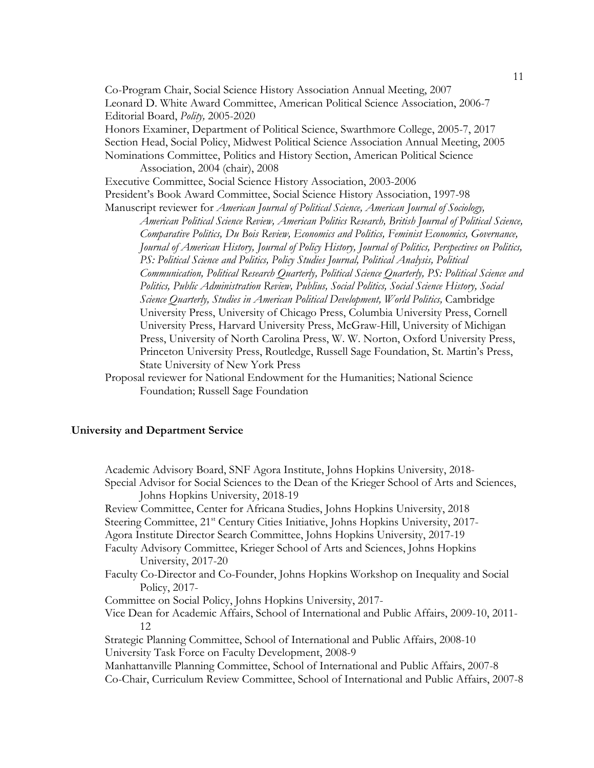Co-Program Chair, Social Science History Association Annual Meeting, 2007 Leonard D. White Award Committee, American Political Science Association, 2006-7 Editorial Board, *Polity,* 2005-2020 Honors Examiner, Department of Political Science, Swarthmore College, 2005-7, 2017 Section Head, Social Policy, Midwest Political Science Association Annual Meeting, 2005 Nominations Committee, Politics and History Section, American Political Science Association, 2004 (chair), 2008 Executive Committee, Social Science History Association, 2003-2006 President's Book Award Committee, Social Science History Association, 1997-98 Manuscript reviewer for *American Journal of Political Science, American Journal of Sociology, American Political Science Review, American Politics Research, British Journal of Political Science, Comparative Politics, Du Bois Review, Economics and Politics, Feminist Economics, Governance, Journal of American History, Journal of Policy History, Journal of Politics, Perspectives on Politics, PS: Political Science and Politics, Policy Studies Journal, Political Analysis, Political Communication, Political Research Quarterly, Political Science Quarterly, PS: Political Science and Politics, Public Administration Review, Publius, Social Politics, Social Science History, Social Science Quarterly, Studies in American Political Development, World Politics,* Cambridge University Press, University of Chicago Press, Columbia University Press, Cornell University Press, Harvard University Press, McGraw-Hill, University of Michigan Press, University of North Carolina Press, W. W. Norton, Oxford University Press, Princeton University Press, Routledge, Russell Sage Foundation, St. Martin's Press, State University of New York Press

Proposal reviewer for National Endowment for the Humanities; National Science Foundation; Russell Sage Foundation

### **University and Department Service**

Academic Advisory Board, SNF Agora Institute, Johns Hopkins University, 2018- Special Advisor for Social Sciences to the Dean of the Krieger School of Arts and Sciences, Johns Hopkins University, 2018-19 Review Committee, Center for Africana Studies, Johns Hopkins University, 2018 Steering Committee, 21<sup>st</sup> Century Cities Initiative, Johns Hopkins University, 2017-Agora Institute Director Search Committee, Johns Hopkins University, 2017-19 Faculty Advisory Committee, Krieger School of Arts and Sciences, Johns Hopkins University, 2017-20 Faculty Co-Director and Co-Founder, Johns Hopkins Workshop on Inequality and Social Policy, 2017- Committee on Social Policy, Johns Hopkins University, 2017- Vice Dean for Academic Affairs, School of International and Public Affairs, 2009-10, 2011- 12 Strategic Planning Committee, School of International and Public Affairs, 2008-10 University Task Force on Faculty Development, 2008-9 Manhattanville Planning Committee, School of International and Public Affairs, 2007-8 Co-Chair, Curriculum Review Committee, School of International and Public Affairs, 2007-8

11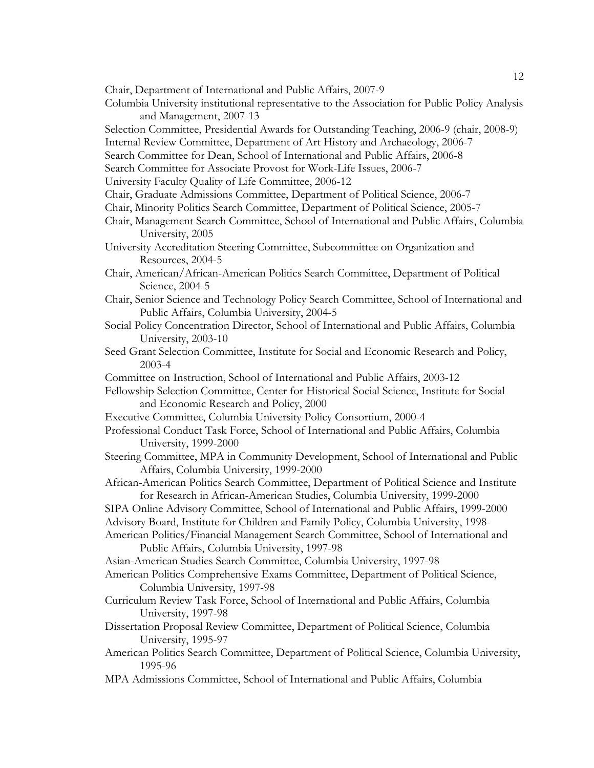- Chair, Department of International and Public Affairs, 2007-9
- Columbia University institutional representative to the Association for Public Policy Analysis and Management, 2007-13
- Selection Committee, Presidential Awards for Outstanding Teaching, 2006-9 (chair, 2008-9)
- Internal Review Committee, Department of Art History and Archaeology, 2006-7
- Search Committee for Dean, School of International and Public Affairs, 2006-8
- Search Committee for Associate Provost for Work-Life Issues, 2006-7
- University Faculty Quality of Life Committee, 2006-12
- Chair, Graduate Admissions Committee, Department of Political Science, 2006-7
- Chair, Minority Politics Search Committee, Department of Political Science, 2005-7
- Chair, Management Search Committee, School of International and Public Affairs, Columbia University, 2005
- University Accreditation Steering Committee, Subcommittee on Organization and Resources, 2004-5
- Chair, American/African-American Politics Search Committee, Department of Political Science, 2004-5
- Chair, Senior Science and Technology Policy Search Committee, School of International and Public Affairs, Columbia University, 2004-5
- Social Policy Concentration Director, School of International and Public Affairs, Columbia University, 2003-10
- Seed Grant Selection Committee, Institute for Social and Economic Research and Policy, 2003-4
- Committee on Instruction, School of International and Public Affairs, 2003-12
- Fellowship Selection Committee, Center for Historical Social Science, Institute for Social and Economic Research and Policy, 2000
- Executive Committee, Columbia University Policy Consortium, 2000-4
- Professional Conduct Task Force, School of International and Public Affairs, Columbia University, 1999-2000
- Steering Committee, MPA in Community Development, School of International and Public Affairs, Columbia University, 1999-2000
- African-American Politics Search Committee, Department of Political Science and Institute for Research in African-American Studies, Columbia University, 1999-2000
- SIPA Online Advisory Committee, School of International and Public Affairs, 1999-2000
- Advisory Board, Institute for Children and Family Policy, Columbia University, 1998-
- American Politics/Financial Management Search Committee, School of International and Public Affairs, Columbia University, 1997-98
- Asian-American Studies Search Committee, Columbia University, 1997-98
- American Politics Comprehensive Exams Committee, Department of Political Science, Columbia University, 1997-98
- Curriculum Review Task Force, School of International and Public Affairs, Columbia University, 1997-98
- Dissertation Proposal Review Committee, Department of Political Science, Columbia University, 1995-97
- American Politics Search Committee, Department of Political Science, Columbia University, 1995-96
- MPA Admissions Committee, School of International and Public Affairs, Columbia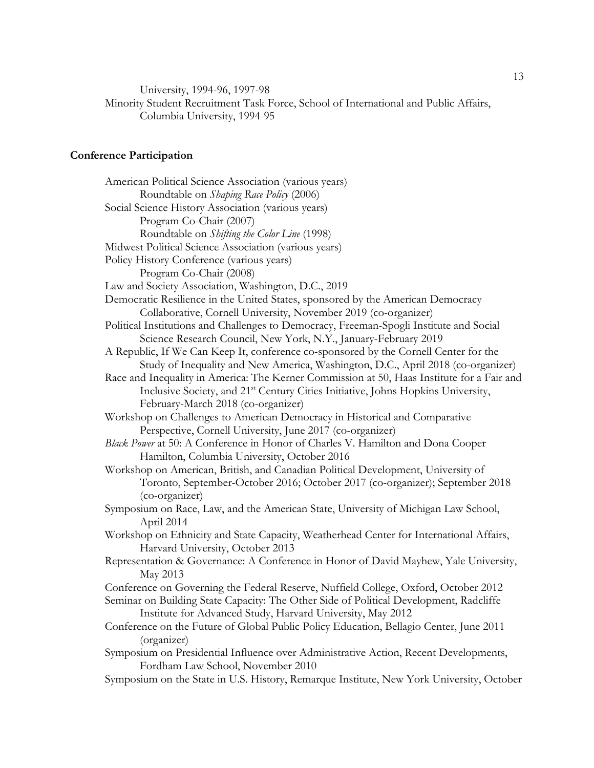University, 1994-96, 1997-98

Minority Student Recruitment Task Force, School of International and Public Affairs, Columbia University, 1994-95

### **Conference Participation**

American Political Science Association (various years) Roundtable on *Shaping Race Policy* (2006) Social Science History Association (various years) Program Co-Chair (2007) Roundtable on *Shifting the Color Line* (1998) Midwest Political Science Association (various years) Policy History Conference (various years) Program Co-Chair (2008) Law and Society Association, Washington, D.C., 2019 Democratic Resilience in the United States, sponsored by the American Democracy Collaborative, Cornell University, November 2019 (co-organizer) Political Institutions and Challenges to Democracy, Freeman-Spogli Institute and Social Science Research Council, New York, N.Y., January-February 2019 A Republic, If We Can Keep It, conference co-sponsored by the Cornell Center for the Study of Inequality and New America, Washington, D.C., April 2018 (co-organizer) Race and Inequality in America: The Kerner Commission at 50, Haas Institute for a Fair and Inclusive Society, and 21<sup>st</sup> Century Cities Initiative, Johns Hopkins University, February-March 2018 (co-organizer) Workshop on Challenges to American Democracy in Historical and Comparative Perspective, Cornell University, June 2017 (co-organizer) *Black Power* at 50: A Conference in Honor of Charles V. Hamilton and Dona Cooper Hamilton, Columbia University, October 2016 Workshop on American, British, and Canadian Political Development, University of Toronto, September-October 2016; October 2017 (co-organizer); September 2018 (co-organizer) Symposium on Race, Law, and the American State, University of Michigan Law School, April 2014 Workshop on Ethnicity and State Capacity, Weatherhead Center for International Affairs, Harvard University, October 2013 Representation & Governance: A Conference in Honor of David Mayhew, Yale University, May 2013 Conference on Governing the Federal Reserve, Nuffield College, Oxford, October 2012 Seminar on Building State Capacity: The Other Side of Political Development, Radcliffe Institute for Advanced Study, Harvard University, May 2012 Conference on the Future of Global Public Policy Education, Bellagio Center, June 2011 (organizer) Symposium on Presidential Influence over Administrative Action, Recent Developments, Fordham Law School, November 2010 Symposium on the State in U.S. History, Remarque Institute, New York University, October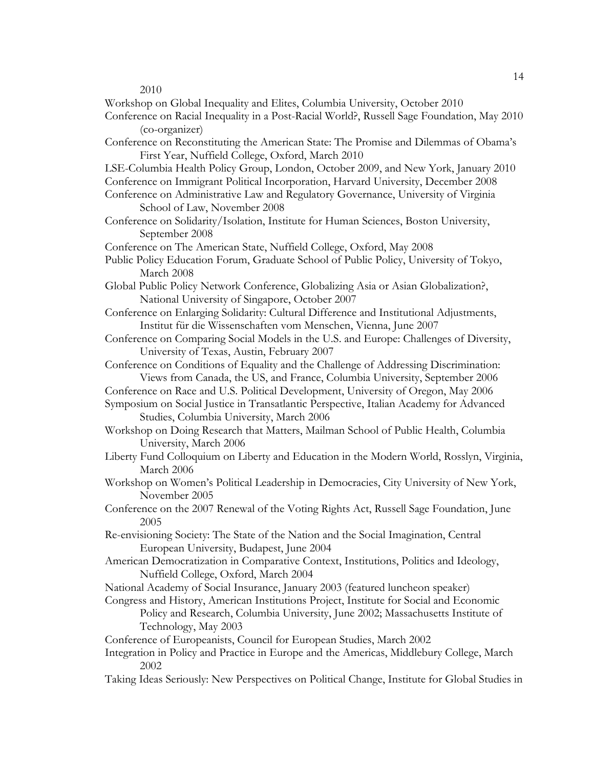2010

- Workshop on Global Inequality and Elites, Columbia University, October 2010
- Conference on Racial Inequality in a Post-Racial World?, Russell Sage Foundation, May 2010 (co-organizer)
- Conference on Reconstituting the American State: The Promise and Dilemmas of Obama's First Year, Nuffield College, Oxford, March 2010
- LSE-Columbia Health Policy Group, London, October 2009, and New York, January 2010 Conference on Immigrant Political Incorporation, Harvard University, December 2008
- Conference on Administrative Law and Regulatory Governance, University of Virginia School of Law, November 2008
- Conference on Solidarity/Isolation, Institute for Human Sciences, Boston University, September 2008

Conference on The American State, Nuffield College, Oxford, May 2008

- Public Policy Education Forum, Graduate School of Public Policy, University of Tokyo, March 2008
- Global Public Policy Network Conference, Globalizing Asia or Asian Globalization?, National University of Singapore, October 2007
- Conference on Enlarging Solidarity: Cultural Difference and Institutional Adjustments, Institut für die Wissenschaften vom Menschen, Vienna, June 2007
- Conference on Comparing Social Models in the U.S. and Europe: Challenges of Diversity, University of Texas, Austin, February 2007
- Conference on Conditions of Equality and the Challenge of Addressing Discrimination: Views from Canada, the US, and France, Columbia University, September 2006
- Conference on Race and U.S. Political Development, University of Oregon, May 2006
- Symposium on Social Justice in Transatlantic Perspective, Italian Academy for Advanced Studies, Columbia University, March 2006
- Workshop on Doing Research that Matters, Mailman School of Public Health, Columbia University, March 2006
- Liberty Fund Colloquium on Liberty and Education in the Modern World, Rosslyn, Virginia, March 2006
- Workshop on Women's Political Leadership in Democracies, City University of New York, November 2005
- Conference on the 2007 Renewal of the Voting Rights Act, Russell Sage Foundation, June 2005
- Re-envisioning Society: The State of the Nation and the Social Imagination, Central European University, Budapest, June 2004
- American Democratization in Comparative Context, Institutions, Politics and Ideology, Nuffield College, Oxford, March 2004
- National Academy of Social Insurance, January 2003 (featured luncheon speaker)
- Congress and History, American Institutions Project, Institute for Social and Economic Policy and Research, Columbia University, June 2002; Massachusetts Institute of Technology, May 2003
- Conference of Europeanists, Council for European Studies, March 2002
- Integration in Policy and Practice in Europe and the Americas, Middlebury College, March 2002
- Taking Ideas Seriously: New Perspectives on Political Change, Institute for Global Studies in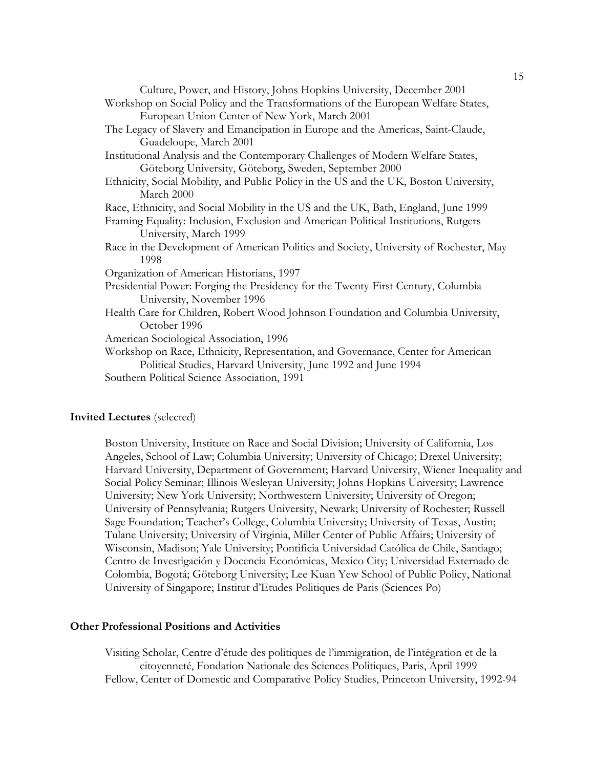| Culture, Power, and History, Johns Hopkins University, December 2001<br>Workshop on Social Policy and the Transformations of the European Welfare States,<br>European Union Center of New York, March 2001 |
|------------------------------------------------------------------------------------------------------------------------------------------------------------------------------------------------------------|
| The Legacy of Slavery and Emancipation in Europe and the Americas, Saint-Claude,<br>Guadeloupe, March 2001                                                                                                 |
| Institutional Analysis and the Contemporary Challenges of Modern Welfare States,                                                                                                                           |
| Göteborg University, Göteborg, Sweden, September 2000                                                                                                                                                      |
| Ethnicity, Social Mobility, and Public Policy in the US and the UK, Boston University,<br>March 2000                                                                                                       |
| Race, Ethnicity, and Social Mobility in the US and the UK, Bath, England, June 1999                                                                                                                        |
| Framing Equality: Inclusion, Exclusion and American Political Institutions, Rutgers<br>University, March 1999                                                                                              |
| Race in the Development of American Politics and Society, University of Rochester, May<br>1998                                                                                                             |
| Organization of American Historians, 1997                                                                                                                                                                  |
| Presidential Power: Forging the Presidency for the Twenty-First Century, Columbia<br>University, November 1996                                                                                             |
| Health Care for Children, Robert Wood Johnson Foundation and Columbia University,<br>October 1996                                                                                                          |
| American Sociological Association, 1996                                                                                                                                                                    |
| Workshop on Race, Ethnicity, Representation, and Governance, Center for American<br>Political Studies, Harvard University, June 1992 and June 1994                                                         |
| Southern Political Science Association, 1991                                                                                                                                                               |

### **Invited Lectures** (selected)

Boston University, Institute on Race and Social Division; University of California, Los Angeles, School of Law; Columbia University; University of Chicago; Drexel University; Harvard University, Department of Government; Harvard University, Wiener Inequality and Social Policy Seminar; Illinois Wesleyan University; Johns Hopkins University; Lawrence University; New York University; Northwestern University; University of Oregon; University of Pennsylvania; Rutgers University, Newark; University of Rochester; Russell Sage Foundation; Teacher's College, Columbia University; University of Texas, Austin; Tulane University; University of Virginia, Miller Center of Public Affairs; University of Wisconsin, Madison; Yale University; Pontificia Universidad Católica de Chile, Santiago; Centro de Investigación y Docencia Económicas, Mexico City; Universidad Externado de Colombia, Bogotá; Göteborg University; Lee Kuan Yew School of Public Policy, National University of Singapore; Institut d'Etudes Politiques de Paris (Sciences Po)

### **Other Professional Positions and Activities**

Visiting Scholar, Centre d'étude des politiques de l'immigration, de l'intégration et de la citoyenneté, Fondation Nationale des Sciences Politiques, Paris, April 1999 Fellow, Center of Domestic and Comparative Policy Studies, Princeton University, 1992-94